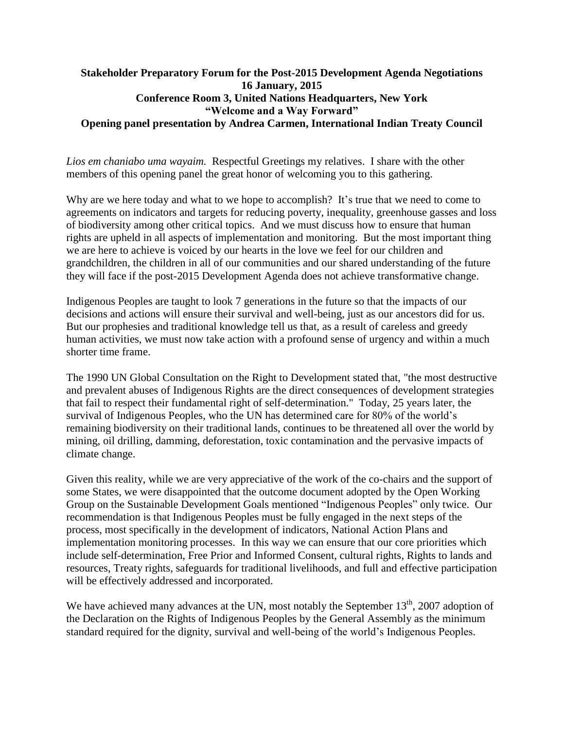## **Stakeholder Preparatory Forum for the Post-2015 Development Agenda Negotiations 16 January, 2015 Conference Room 3, United Nations Headquarters, New York "Welcome and a Way Forward" Opening panel presentation by Andrea Carmen, International Indian Treaty Council**

*Lios em chaniabo uma wayaim.* Respectful Greetings my relatives. I share with the other members of this opening panel the great honor of welcoming you to this gathering.

Why are we here today and what to we hope to accomplish? It's true that we need to come to agreements on indicators and targets for reducing poverty, inequality, greenhouse gasses and loss of biodiversity among other critical topics. And we must discuss how to ensure that human rights are upheld in all aspects of implementation and monitoring. But the most important thing we are here to achieve is voiced by our hearts in the love we feel for our children and grandchildren, the children in all of our communities and our shared understanding of the future they will face if the post-2015 Development Agenda does not achieve transformative change.

Indigenous Peoples are taught to look 7 generations in the future so that the impacts of our decisions and actions will ensure their survival and well-being, just as our ancestors did for us. But our prophesies and traditional knowledge tell us that, as a result of careless and greedy human activities, we must now take action with a profound sense of urgency and within a much shorter time frame.

The 1990 UN Global Consultation on the Right to Development stated that, "the most destructive and prevalent abuses of Indigenous Rights are the direct consequences of development strategies that fail to respect their fundamental right of self-determination." Today, 25 years later, the survival of Indigenous Peoples, who the UN has determined care for 80% of the world's remaining biodiversity on their traditional lands, continues to be threatened all over the world by mining, oil drilling, damming, deforestation, toxic contamination and the pervasive impacts of climate change.

Given this reality, while we are very appreciative of the work of the co-chairs and the support of some States, we were disappointed that the outcome document adopted by the Open Working Group on the Sustainable Development Goals mentioned "Indigenous Peoples" only twice. Our recommendation is that Indigenous Peoples must be fully engaged in the next steps of the process, most specifically in the development of indicators, National Action Plans and implementation monitoring processes. In this way we can ensure that our core priorities which include self-determination, Free Prior and Informed Consent, cultural rights, Rights to lands and resources, Treaty rights, safeguards for traditional livelihoods, and full and effective participation will be effectively addressed and incorporated.

We have achieved many advances at the UN, most notably the September  $13<sup>th</sup>$ , 2007 adoption of the Declaration on the Rights of Indigenous Peoples by the General Assembly as the minimum standard required for the dignity, survival and well-being of the world's Indigenous Peoples.